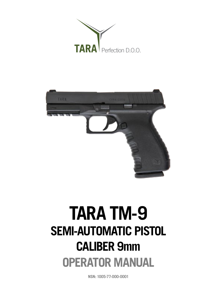



# **TARA TM-9 SEMI-AUTOMATIC PISTOL CALIBER 9mm OPERATOR MANUAL**

**NSN: 1005-77-000-0001**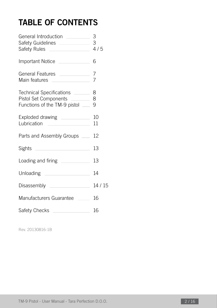# **TABLE OF CONTENTS**

| General Introduction ________<br>Safety Rules ____________________ 4/5                                       | 3  |
|--------------------------------------------------------------------------------------------------------------|----|
| Important Notice                                                                                             | 6  |
| General Features <b>contracts</b><br>Main features _______________                                           | 7  |
| Technical Specifications _______ 8<br>Pistol Set Components _________ 8<br>Functions of the TM-9 pistol __ 9 |    |
| Exploded drawing ______________ 10<br>Lubrication <u>______________</u> __                                   | 11 |
| Parts and Assembly Groups __ 12                                                                              |    |
| Sights _______________________                                                                               | 13 |
| Loading and firing ___________                                                                               | 13 |
| Unloading ___________________                                                                                | 14 |
|                                                                                                              |    |
| Manufacturers Guarantee _____ 16                                                                             |    |
| Safety Checks                                                                                                | 16 |

Rev. 20130816-1B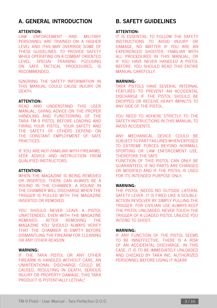### **A. GENERAL INTRODUCTION**

#### **ATTENTION:**

LAW ENFORCEMENT AND MILITARY PERSONNEL ARE TRAINED ON A HIGHER LEVEL AND THIS MAY OVERRIDE SOME OF THESE GUIDELINES. TO PROVIDE SAFETY WHILE OPERATING ON A COMBAT ORIENTED LEVEL, SPECIAL TRAINING FOCUSING ON SAFE TACTICAL PROCEDURES, IS RECOMMENDED.

IGNORING THE SAFETY INFORMATION IN THIS MANUAL COULD CAUSE INJURY OR DEATH.

### **ATTENTION:**

READ AND UNDERSTAND THIS USER MANUAL, GIVING ADVICE ON THE PROPER HANDLING AND FUNCTIONING OF THE TARA TM-9 PISTOL BEFORE LOADING AND FIRING YOUR PISTOL. YOUR SAFETY AND THE SAFETY OF OTHERS DEPEND ON THE CONSTANT EMPLOYMENT OF SAFE **PRACTICES** 

IF YOU ARE NOT FAMILIAR WITH FIREARMS, SEEK ADVICE AND INSTRUCTION FROM QUALIFIED INSTRUCTORS.

#### **ATTENTION:**

WHEN THE MAGAZINE IS BEING REMOVED OR INSERTED, THERE CAN ALWAYS BE A ROUND IN THE CHAMBER. A ROUND IN THE CHAMBER WILL DISCHARGE WHEN THE TRIGGER IS PULLED WITH THE MAGAZINE INSERTED OR REMOVED.

YOU SHOULD NEVER LEAVE A PISTOL UNATTENDED, EVEN WITH THE MAGAZINE REMOVED. AFTER REMOVING THE MAGAZINE YOU SHOULD ALWAYS VERIFY THAT THE CHAMBER IS EMPTY BEFORE DISMANTLING THE FIREARM FOR CLEANING OR ANY OTHER REASON.

#### **WARNING:**

IF THE TARA PISTOL OR ANY OTHER FIREARM IS HANDLED WITHOUT CARE, AN UNINTENTIONAL DISCHARGE COULD BE CAUSED, RESULTING IN DEATH, SERIOUS INJURY OR PROPERTY DAMAGE. THIS TARA PRODUCT IS POTENTIALLY LETHAL!

### **B. SAFETY GUIDELINES**

#### **ATTENTION:**

IT IS ESSENTIAL TO FOLLOW THE SAFETY INSTRUCTIONS TO AVOID INJURY OR DAMAGE, NO MATTER IF YOU ARE AN EXPERIENCED SHOOTER, FAMILIAR WITH ALL PROCEDURES IN THIS MANUAL, OR IF YOU HAVE NEVER HANDLED A PISTOL BEFORE. YOU SHOULD READ THIS ENTIRE MANUAL CAREFULLY.

#### **WARNING:**

TARA PISTOLS HAVE SEVERAL INTERNAL FEATURES TO PREVENT AN ACCIDENTAL DISCHARGE IF THE PISTOL SHOULD BE DROPPED OR RECEIVE HEAVY IMPACTS TO ANY SIDE OF THE PISTOL.

YOU NEED TO ADHERE STRICTLY TO THE SAFETY INSTRUCTIONS IN THIS MANUAL TO AVOID ACCIDENTS.

ANY MECHANICAL DEVICE COULD BE SUBJECT TO PART FAILURES WHEN EXPOSED TO EXTREME FORCES BEYOND NORMALL SPORTING OR LAW ENFORCEMENT USE. THEREFORE THE SAFE FUNCTION OF THIS PISTOL CAN ONLY BE

GUARANTEED, IF NO PARTS ARE CHANGED OR MODIFIED AND IF THE PISTOL IS USED FOR ITS INTENDED PURPOSE ONLY.

#### **WARNING:**

THE PISTOL NEEDS NO OUTSIDE LATERAL SAFETY LEVER. IT IS FIRED LIKE A DOUBLE-ACTION REVOLVER BY SIMPLY PULLING THE TRIGGER. FOR CIVILIAN USE ALWAYS KEEP THE PISTOL UNLOADED. NEVER TOUCH THE TRIGGER OF A LOADED PISTOL UNLESS YOU INTEND TO SHOOT.

#### **WARNING:**

IF ANY FUNCTION OF THE PISTOL SEEMS TO BE INNEFFECTIVE, THERE IS A RISK OF AN ACCIDENTAL DISCHARGE. IN THIS CASE, IT IS TO BE IMMEDIATELY UNLOADED AND CHECKED BY TARA INC. AUTHORIZED PERSONNEL BEFORE USING IT AGAIN!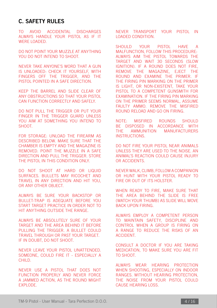### **C. SAFETY RULES**

TO AVOID ACCIDENTAL DISCHARGES ALWAYS HANDLE YOUR PISTOL AS IF IT WERE LOADED.

DO NOT POINT YOUR MUZZLE AT ANYTHING YOU DO NOT INTEND TO SHOOT.

NEVER TAKE ANYONE'S WORD THAT A GUN IS UNLOADED: CHECK IT YOURSELF, WITH FINGERS OFF THE TRIGGER, AND THE PISTOL POINTED IN A SAFE DIRECTION.

KEEP THE BARREL AND SLIDE CLEAR OF ANY OBSTRUCTIONS SO THAT YOUR PISTOL CAN FUNCTION CORRECTLY AND SAFELY.

DO NOT PULL THE TRIGGER OR PUT YOUR FINGER IN THE TRIGGER GUARD UNLESS YOU AIM AT SOMETHING YOU INTEND TO **SHOOT** 

FOR STORAGE: UNLOAD THE FIREARM AS DESCRIBED BELOW. MAKE SURE THAT THE CHAMBER IS EMPTY AND THE MAGAZINE IS REMOVED. POINT THE MUZZLE IN A SAFE DIRECTION AND PULL THE TRIGGER. STORE THE PISTOL IN THIS CONDITION ONLY.

DO NOT SHOOT AT HARD OR LIQUID SURFACES. BULLETS MAY RICOCHET AND TRAVEL IN ANY DIRECTION AND HIT YOU, OR ANY OTHER OBJECT.

ALWAYS BE SURE YOUR BACKSTOP OR BULLET-TRAP IS ADEQUATE BEFORE YOU START TARGET PRACTICE IN ORDER NOT TO HIT ANYTHING OUTSIDE THE RANGE.

ALWAYS BE ABSOLUTELY SURE OF YOUR TARGET AND THE AREA BEHIND IT BEFORE PULLING THE TRIGGER. A BULLET COULD TRAVEL THROUGH OR PAST YOUR TARGET. IF IN DOUBT, DO NOT SHOOT.

NEVER LEAVE YOUR PISTOL UNATTENDED. SOMEONE, COULD FIRE IT - ESPECIALLY A CHILD.

NEVER USE A PISTOL THAT DOES NOT FUNCTION PROPERLY AND NEVER FORCE A JAMMED ACTION, AS THE ROUND MIGHT EXPLODE.

NEVER TRANSPORT YOUR PISTOL IN LOADED CONDITION.

SHOULD YOUR PISTOL HAVE A MALFUNCTION, FOLLOW THIS PROCEDURE: ALWAYS AIM THE PISTOL TOWARDS THE TARGET AND WAIT 30 SECONDS (SLOW IGNITION). IF A ROUND DOES NOT FIRE, REMOVE THE MAGAZINE, EJECT THE ROUND AND EXAMINE THE PRIMER. IF THE FIRING PIN MARKING ON THE PRIMER IS LIGHT, OR NON-EXISTENT, TAKE YOUR PISTOL TO A COMPETENT GUNSMITH FOR EXAMINATION. IF THE FIRING PIN MARKING ON THE PRIMER SEEMS NORMAL, ASSUME FAULTY AMMO. REMOVE THE MISFIRED ROUND RELOAD AND GO ON FIRING.

NOTE: MISFIRED ROUNDS SHOULD BE DISPOSED IN ACCORDANCE WITH THE AMMUNITION MANUFACTURERS INSTRUCTIONS.

DO NOT FIRE YOUR PISTOL NEAR ANIMALS UNLESS THEY ARE USED TO THE NOISE. AN ANIMAL'S REACTION COULD CAUSE INJURY OR ACCIDENTS.

NEVER WALK, CLIMB, FOLLOW A COMPANION OR HUNT WITH YOUR PISTOL READY TO FIRE OR OUT OF ITS HOLSTER.

WHEN READY TO FIRE, MAKE SURE THAT THE AREA BEHIND THE SLIDE IS FREE (WATCH YOUR THUMB) AS SLIDE WILL MOVE BACK UPON FIRING.

ALWAYS EMPLOY A COMPETENT PERSON TO MAINTAIN SAFETY, DISCIPLINE AND CONTROL WHEN A GROUP IS FIRING ON A RANGE TO REDUCE THE RISKS OF AN ACCIDENT.

CONSULT A DOCTOR IF YOU ARE TAKING MEDICATION, TO MAKE SURE YOU ARE FIT TO SHOOT.

ALWAYS WEAR HEARING PROTECTION WHEN SHOOTING, ESPECIALLY ON INDOOR RANGES. WITHOUT HEARING PROTECTION, THE NOISE FROM YOUR PISTOL COULD CAUSE HEARING LOSS.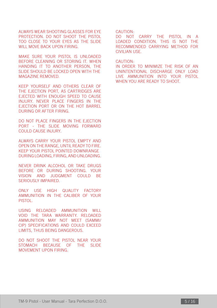ALWAYS WEAR SHOOTING GLASSES FOR EYE PROTECTION. DO NOT SHOOT THE PISTOL TOO CLOSE TO YOUR EYES AS THE SLIDE WILL MOVE BACK UPON FIRING.

MAKE SURE YOUR PISTOL IS UNLOADED BEFORE CLEANING OR STORING IT. WHEN HANDING IT TO ANOTHER PERSON, THE SLIDE SHOULD BE LOCKED OPEN WITH THE MAGAZINE REMOVED.

KEEP YOURSELF AND OTHERS CLEAR OF THE EJECTION PORT, AS CARTRIDGES ARE EJECTED WITH ENOUGH SPEED TO CAUSE INJURY. NEVER PLACE FINGERS IN THE EJECTION PORT OR ON THE HOT BARREL DURING OR AFTER FIRING.

DO NOT PLACE FINGERS IN THE EJECTION PORT - THE SLIDE MOVING FORWARD COULD CAUSE INJURY.

ALWAYS CARRY YOUR PISTOL EMPTY AND OPEN ON THE RANGE, UNTIL READY TO FIRE. KEEP YOUR PISTOL POINTED DOWNRANGE DURING LOADING, FIRING, AND UNLOADING.

NEVER DRINK ALCOHOL OR TAKE DRUGS BEFORE OR DURING SHOOTING. YOUR VISION AND JUDGMENT COULD BE SERIOUSLY IMPAIRED.

ONLY USE HIGH QUALITY FACTORY AMMUNITION IN THE CALIBER OF YOUR PISTOL.

USING RELOADED AMMUNITION WILL VOID THE TARA WARRANTY. RELOADED AMMUNITION MAY NOT MEET (SAMMI/ CIP) SPECIFICATIONS AND COULD EXCEED LIMITS, THUS BEING DANGEROUS.

DO NOT SHOOT THE PISTOL NEAR YOUR STOMACH BECAUSE OF THE SLIDE MOVEMENT UPON FIRING.

#### CAUTION:

DO NOT CARRY THE PISTOL IN A LOADED CONDITION. THIS IS NOT THE RECOMMENDED CARRYING METHOD FOR CIVILIAN USE.

#### CAUTION:

IN ORDER TO MINIMIZE THE RISK OF AN UNINTENTIONAL DISCHARGE ONLY LOAD LIVE AMMUNITION INTO YOUR PISTOL WHEN YOU ARE READY TO SHOOT.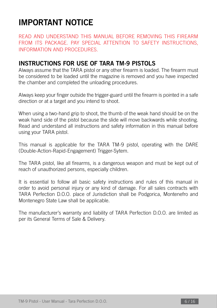### **IMPORTANT NOTICE**

READ AND UNDERSTAND THIS MANUAL BEFORE REMOVING THIS FIREARM FROM ITS PACKAGE. PAY SPECIAL ATTENTION TO SAFETY INSTRUCTIONS, INFORMATION AND PROCEDURES.

### **INSTRUCTIONS FOR USE OF TARA TM-9 PISTOLS**

Always assume that the TARA pistol or any other firearm is loaded. The firearm must be considered to be loaded until the magazine is removed and you have inspected the chamber and completed the unloading procedures.

Always keep your finger outside the trigger-guard until the firearm is pointed in a safe direction or at a target and you intend to shoot.

When using a two-hand grip to shoot, the thumb of the weak hand should be on the weak hand side of the pistol because the slide will move backwards while shooting. Read and understand all instructions and safety information in this manual before using your TARA pistol.

This manual is applicable for the TARA TM-9 pistol, operating with the DARE (Double-Action-Rapid-Engagement) Trigger-Sytem.

The TARA pistol, like all firearms, is a dangerous weapon and must be kept out of reach of unauthorized persons, especially children.

It is essential to follow all basic safety instructions and rules of this manual in order to avoid personal injury or any kind of damage. For all sales contracts with TARA Perfection D.O.O. place of Jurisdiction shall be Podgorica, Montenefro and Montenegro State Law shall be applicable.

The manufacturer's warranty and liability of TARA Perfection D.O.O. are limited as per its General Terms of Sale & Delivery.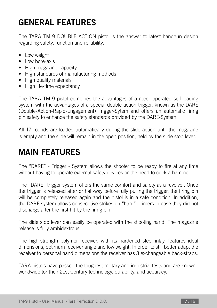# **GENERAL FEATURES**

The TARA TM-9 DOUBLE ACTION pistol is the answer to latest handgun design regarding safety, function and reliability.

- Low weight
- Low bore-axis
- High magazine capacity
- High standards of manufacturing methods
- High quality materials
- High life-time expectancy

The TARA TM-9 pistol combines the advantages of a recoil-operated self-loading system with the advantages of a special double action trigger, known as the DARE (Double-Action-Rapid-Engagement) Trigger-Sytem and offers an automatic firing pin safety to enhance the safety standards provided by the DARE-System.

All 10 rounds are loaded automatically during the slide action until the magazine is empty and the slide will remain in the open position, held by the slide stop lever.

# **MAIN FEATURES**

The "DARE" - Trigger - System allows the shooter to be ready to fire at any time without having to operate external safety devices or the need to cock a hammer.

The "DARE" trigger system offers the same comfort and safety as a revolver. Once the trigger is released after or half-way before fully pulling the trigger, the firing pin will be completely released again and the pistol is in a safe condition. In addition, the DARE system allows consecutive strikes on "hard" primers in case they did not discharge after the first hit by the firing pin.

The slide stop lever can easily be operated with the shooting hand. The magazine release is fully ambidextrous.

The high-strength polymer receiver, with its hardened steel inlay, features ideal dimensions, optimum receiver angle and low weight. In order to still better adapt the receiver to personal hand dimensions the receiver has 3 exchangeable back-straps.

TARA pistols have passed the toughest military and industrial tests and are known worldwide tor their 21st Century technology, durability, and accuracy.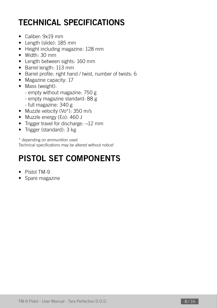# **TECHNICAL SPECIFICATIONS**

- Caliber: 9x19 mm
- Length (slide): 185 mm
- Height including magazine: 128 mm
- Width: 30 mm
- Length between sights: 160 mm
- Barrel length: 113 mm
- Barrel profile: right hand / twist, number of twists: 6
- Magazine capacity: 10
- Mass (weight):
	- empty without magazine: 750 g
	- empty magazine standard: 88 g
	- full magazine: 340 g
- Muzzle velocity (Vo\*): 350 m/s
- Muzzle energy (Eo): 460 J
- Trigger travel for discharge: ~12 mm
- Trigger (standard): 3 kg

\* depending on ammunition used Technical specifications may be altered without notice!

# **PISTOL SET COMPONENTS**

- Pistol TM-9
- Spare magazine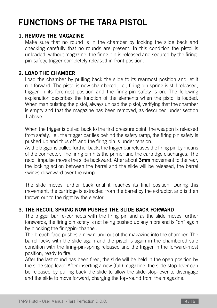# **FUNCTIONS OF THE TARA PISTOL**

### **1. REMOVE THE MAGAZINE**

Make sure that no round is in the chamber by locking the slide back and checking carefully that no rounds are present. In this condition the pistol is unloaded, without magazine, the firing pin is released and secured by the firingpin-safety, trigger completely released in front position.

### **2. LOAD THE CHAMBER**

Load the chamber by pulling back the slide to its rearmost position and let it run forward. The pistol is now chambered, i.e., firing pin spring is still released, trigger in its foremost position and the firing-pin safety is on. The following explanation describes the function of the elements when the pistol is loaded. When manipulating the pistol, always unload the pistol, verifying that the chamber is empty and that the magazine has been removed, as described under section 1 above.

When the trigger is pulled back to the first pressure point, the weapon is released from safety, i.e., the trigger bar lies behind the safety ramp, the firing pin safety is pushed up and thus off, and the firing pin is under tension.

As the trigger is pulled further back, the trigger bar releases the firing pin by means of the connector. The firing pin hits the primer and the cartridge discharges. The recoil impulse moves the slide backward. After about **3mm** movement to the rear, the locking action between the barrel and the slide will be released, the barrel swings downward over the **ramp**.

The slide moves further back until it reaches its final position. During this movement, the cartridge is extracted from the barrel by the extractor, and is then thrown out to the right by the ejector.

### **3. THE RECOIL SPRING NOW PUSHES THE SLIDE BACK FORWARD**

The trigger bar re-connects with the firing pin and as the slide moves further forewards, the firing pin safety is not being pushed up any more and is "on" again by blocking the firingpin-channel.

The breach-face pushes a new round out of the magazine into the chamber. The barrel locks with the slide again and the pistol is again in the chambered safe condition with the firing-pin-spring released and the trigger in the forward-most position, ready to fire.

After the last round has been fired, the slide will be held in the open position by the slide stop lever. After inserting a new (full) magazine, the slide-stop-lever can be released by pulling back the slide to allow the slide-stop-lever to disengage and the slide to move forward, charging the top-round from the magazine.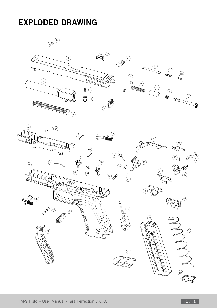### **EXPLODED DRAWING**

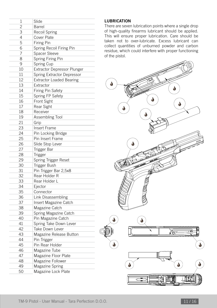| 1              | Slide                              |
|----------------|------------------------------------|
| $\overline{c}$ | Barrel                             |
| 3              | <b>Recoil Spring</b>               |
| 4              | Cover Plate                        |
| 5              | <b>Firing Pin</b>                  |
| 6              | Spring Recoil Firing Pin           |
| 7              | Spacer Sleeve                      |
| 8              | Spring Firing Pin                  |
| 9              | Spring Cup                         |
| 10             | <b>Extractor Depressor Plunger</b> |
| 11             | Spring Extractor Depressor         |
| 12             | <b>Extractor Loaded Bearing</b>    |
| 13             | Extractor                          |
| 14             | <b>Firing Pin Safety</b>           |
| 15             | Spring FP Safety                   |
| 16             | Front Sight                        |
| 17             | Rear Sight                         |
| 18             | Receiver                           |
| 19             | Assembling Tool                    |
| 21             | Grip                               |
| 23             | Insert Frame                       |
| 24             | Pin Locking Bridge                 |
| 25             | Pin Insert Frame                   |
| 26             | Slide Stop Lever                   |
| 27             | Trigger Bar                        |
| 28             | <b>Trigger</b>                     |
| 29             | Spring Trigger Reset               |
| 30             | Trigger Bush                       |
| 31             | Pin Trigger Bar 2,5x8              |
| 32             | Rear Holder R                      |
| 33             | Rear Holder L                      |
| 34             | Ejector                            |
| 35             | Connector                          |
| 36             | Link Disassembling                 |
| 37             | Insert Magazine Catch              |
| 38             | Magazine Catch                     |
| 39             | Spring Magazine Catch              |
| 40             | Pin Magazine Catch                 |
| 41             | Spring Take Down Lever             |
| 42             | Take Down Lever                    |
| 43             | Magazine Release Button            |
| 44             | Pin Trigger                        |
| 45             | Pin Rear Holder                    |
| 46             | Magazine Tube                      |
| 47             | Magazine Floor Plate               |
| 48             | Magazine Follower                  |
| 49             | Magazine Spring                    |
| 50             | Magazine Lock Plate                |
|                |                                    |

### **LUBRICATION**

There are seven lubrication points where a single drop of high-quality firearms lubricant should be applied. This will ensure proper lubrication. Care should be taken not to over-lubricate. Excess lubricant can collect quantities of unburned powder and carbon residue, which could interfere with proper functioning of the pistol.

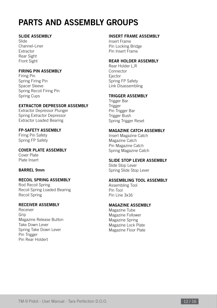# **PARTS AND ASSEMBLY GROUPS**

### **SLIDE ASSEMBLY**

Slide Channel-Liner Extractor Rear Sight Front Sight

### **FIRING PIN ASSEMBLY**

Firing Pin Spring Firing Pin Spacer Sleeve Spring Recoil Firing Pin Spring Cups

### **EXTRACTOR DEPRESSOR ASSEMBLY**

Extractor Depressor Plunger Spring Extractor Depressor Extractor Loaded Bearing

**FP-SAFETY ASSEMBLY** Firing Pin Safety Spring FP Safety

**COVER PLATE ASSEMBLY** Cover Plate Plate Insert

### **BARREL 9mm**

**RECOIL SPRING ASSEMBLY** Rod Recoil Spring Recoil Spring Loaded Bearing Recoil Spring

### **RECEIVER ASSEMBLY**

Receiver Grip Magazine Release Button Take Down Lever Spring Take Down Lever Pin Trigger Pin Rear Holdert

### **INSERT FRAME ASSEMBLY**

Insert Frame Pin Locking Bridge Pin Insert Frame

### **REAR HOLDER ASSEMBLY**

Rear Holder L,R Connector Ejector Spring FP Safety Link Disassembling

#### **TRIGGER ASSEMBLY**

Trigger Bar Trigger Pin Trigger Bar Trigger Bush Spring Trigger Reset

### **MAGAZINE CATCH ASSEMBLY**

Insert Magazine Catch Magazine Catch Pin Magazine Catch Spring Magazine Catch

### **SLIDE STOP LEVER ASSEMBLY**

Slide Stop Lever Spring Slide Stop Lever

### **ASSEMBLING TOOL ASSEMBLY**

Assembling Tool Pin Tool Pin Line 3x16

### **MAGAZINE ASSEMBLY**

Magazine Tube Magazine Follower Magazine Spring Magazine Lock Plate Magazine Floor Plate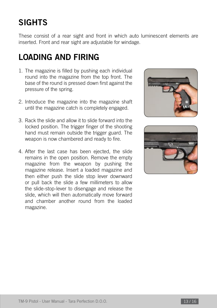# **SIGHTS**

These consist of a rear sight and front in which auto luminescent elements are inserted. Front and rear sight are adjustable for windage.

# **LOADING AND FIRING**

- 1. The magazine is filled by pushing each individual round into the magazine from the top front. The base of the round is pressed down first against the pressure of the spring.
- 2. Introduce the magazine into the magazine shaft until the magazine catch is completely engaged.
- 3. Rack the slide and allow it to slide forward into the locked position. The trigger finger of the shooting hand must remain outside the trigger guard. The weapon is now chambered and ready to fire.
- 4. After the last case has been ejected, the slide remains in the open position. Remove the empty magazine from the weapon by pushing the magazine release. Insert a loaded magazine and then either push the slide stop lever downward or pull back the slide a few millimeters to allow the slide-stop-lever to disengage and release the slide, which will then automatically move forward and chamber another round from the loaded magazine.



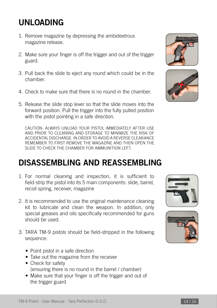### **UNLOADING**

- 1. Remove magazine by depressing the ambidextrous magazine release.
- 2. Make sure your finger is off the trigger and out of the trigger guard.
- 3. Pull back the slide to eject any round which could be in the chamber.
- 4. Check to make sure that there is no round in the chamber.
- 5. Release the slide stop lever so that the slide moves into the forward position. Pull the trigger into the fully pulled position with the pistol pointing in a safe direction.

CAUTION: ALWAYS UNLOAD YOUR PISTOL IMMEDIATELY AFTER USE AND PRIOR TO CLEANING AND STORAGE TO MINIMIZE THE RISK OF ACCIDENTAL DISCHARGE. IN ORDER TO AVOID A REVERSE CLEARANCE REMEMBER TO FIRST REMOVE THE MAGAZINE AND THEN OPEN THE SLIDE TO CHECK THE CHAMBER FOR AMMUNITION LEFT.

### **DISASSEMBLING AND REASSEMBLING**

- 1. For normal cleaning and inspection, it is sufficient to field-strip the pistol into its 5 main components: slide, barrel, recoil spring, receiver, magazine
- 2. It is recommended to use the original maintenance cleaning kit to lubricate and clean the weapon. In addition, only special greases and oils specifically recommended for guns should be used.
- 3. TARA TM-9 pistols should be field-stripped in the following sequence:
	- Point pistol in a safe direction
	- Take out the magazine from the receiver
	- Check for safety (ensuring there is no round in the barrel / chamber)
	- Make sure that your finger is off the trigger and out of the trigger guard







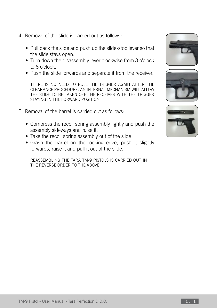- 4. Removal of the slide is carried out as follows:
	- Pull back the slide and push up the slide-stop lever so that the slide stays open.
	- Turn down the disassembly lever clockwise from 3 o'clock to 6 o'clock.
	- Push the slide forwards and separate it from the receiver.

THERE IS NO NEED TO PULL THE TRIGGER AGAIN AFTER THE CLEARANCE PROCEDURE. AN INTERNAL MECHANISM WILL ALLOW THE SLIDE TO BE TAKEN OFF THE RECEIVER WITH THE TRIGGER STAYING IN THE FORWARD POSITION.

- 5. Removal of the barrel is carried out as follows:
	- Compress the recoil spring assembly lightly and push the assembly sideways and raise it.
	- Take the recoil spring assembly out of the slide
	- Grasp the barrel on the locking edge, push it slightly forwards, raise it and pull it out of the slide.

REASSEMBLING THE TARA TM-9 PISTOLS IS CARRIED OUT IN THE REVERSE ORDER TO THE ABOVE.